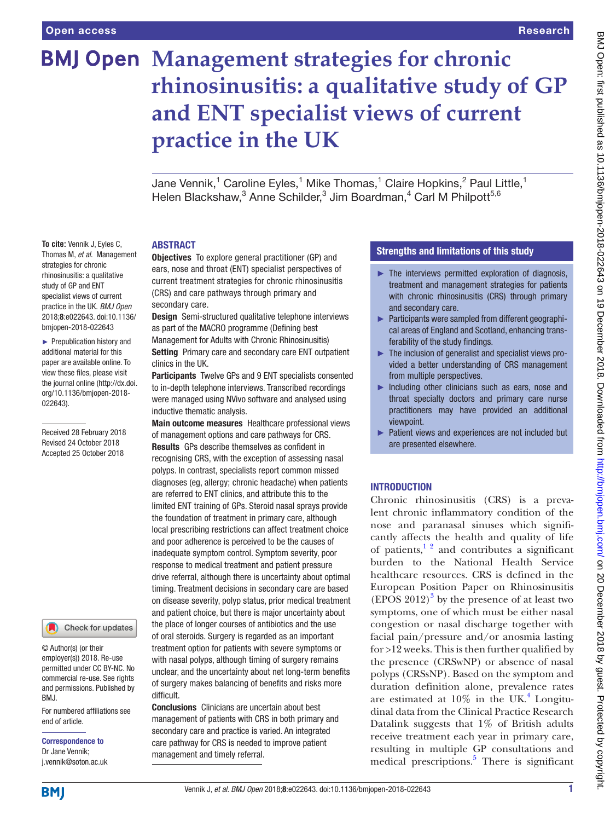**To cite:** Vennik J, Eyles C, Thomas M, *et al*. Management strategies for chronic rhinosinusitis: a qualitative study of GP and ENT specialist views of current practice in the UK. *BMJ Open* 2018;8:e022643. doi:10.1136/ bmjopen-2018-022643 ► Prepublication history and additional material for this paper are available online. To view these files, please visit the journal online (http://dx.doi. org/10.1136/bmjopen-2018-

022643).

Received 28 February 2018 Revised 24 October 2018 Accepted 25 October 2018

# **BMJ Open Management strategies for chronic rhinosinusitis: a qualitative study of GP and ENT specialist views of current practice in the UK**

Jane Vennik, $^1$  Caroline Eyles, $^1$  Mike Thomas, $^1$  Claire Hopkins, $^2$  Paul Little, $^1$ Helen Blackshaw,<sup>3</sup> Anne Schilder,<sup>3</sup> Jim Boardman,<sup>4</sup> Carl M Philpott<sup>5,6</sup>

## **ABSTRACT**

**Objectives** To explore general practitioner (GP) and ears, nose and throat (ENT) specialist perspectives of current treatment strategies for chronic rhinosinusitis (CRS) and care pathways through primary and secondary care.

Design Semi-structured qualitative telephone interviews as part of the MACRO programme (Defining best Management for Adults with Chronic Rhinosinusitis) Setting Primary care and secondary care ENT outpatient clinics in the UK.

Participants Twelve GPs and 9 ENT specialists consented to in-depth telephone interviews. Transcribed recordings were managed using NVivo software and analysed using inductive thematic analysis.

Main outcome measures Healthcare professional views of management options and care pathways for CRS. Results GPs describe themselves as confident in recognising CRS, with the exception of assessing nasal polyps. In contrast, specialists report common missed diagnoses (eg, allergy; chronic headache) when patients are referred to ENT clinics, and attribute this to the limited ENT training of GPs. Steroid nasal sprays provide the foundation of treatment in primary care, although local prescribing restrictions can affect treatment choice and poor adherence is perceived to be the causes of inadequate symptom control. Symptom severity, poor response to medical treatment and patient pressure drive referral, although there is uncertainty about optimal timing. Treatment decisions in secondary care are based on disease severity, polyp status, prior medical treatment and patient choice, but there is major uncertainty about the place of longer courses of antibiotics and the use of oral steroids. Surgery is regarded as an important treatment option for patients with severe symptoms or with nasal polyps, although timing of surgery remains unclear, and the uncertainty about net long-term benefits of surgery makes balancing of benefits and risks more

Conclusions Clinicians are uncertain about best management of patients with CRS in both primary and secondary care and practice is varied. An integrated care pathway for CRS is needed to improve patient management and timely referral.

# Strengths and limitations of this study

- $\blacktriangleright$  The interviews permitted exploration of diagnosis, treatment and management strategies for patients with chronic rhinosinusitis (CRS) through primary and secondary care.
- ► Participants were sampled from different geographical areas of England and Scotland, enhancing transferability of the study findings.
- ► The inclusion of generalist and specialist views provided a better understanding of CRS management from multiple perspectives.
- ► Including other clinicians such as ears, nose and throat specialty doctors and primary care nurse practitioners may have provided an additional viewpoint.
- ► Patient views and experiences are not included but are presented elsewhere.

## **INTRODUCTION**

Chronic rhinosinusitis (CRS) is a prevalent chronic inflammatory condition of the nose and paranasal sinuses which significantly affects the health and quality of life of patients, $\frac{1}{2}$  and contributes a significant burden to the National Health Service healthcare resources. CRS is defined in the European Position Paper on Rhinosinusitis  $($  EPOS 2012 $)$ <sup>3</sup> by the presence of at least two symptoms, one of which must be either nasal congestion or nasal discharge together with facial pain/pressure and/or anosmia lasting for >12 weeks. This is then further qualified by the presence (CRSwNP) or absence of nasal polyps (CRSsNP). Based on the symptom and duration definition alone, prevalence rates are estimated at  $10\%$  in the UK.<sup>[4](#page-7-2)</sup> Longitudinal data from the Clinical Practice Research Datalink suggests that 1\% of British adults receive treatment each year in primary care, resulting in multiple GP consultations and medical prescriptions.<sup>5</sup> There is significant

**BMI** 

end of article.

BMJ.

Correspondence to Dr Jane Vennik; i.vennik@soton.ac.uk

© Author(s) (or their employer(s)) 2018. Re-use permitted under CC BY-NC. No commercial re-use. See rights and permissions. Published by

For numbered affiliations see

Check for updates

difficult.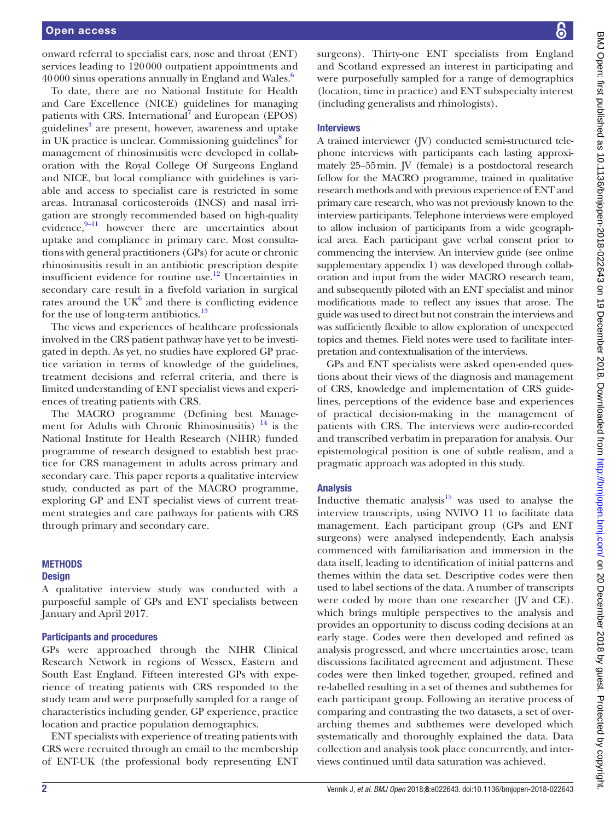onward referral to specialist ears, nose and throat (ENT) services leading to 120000 outpatient appointments and 40000 sinus operations annually in England and Wales.<sup>[6](#page-7-4)</sup>

To date, there are no National Institute for Health and Care Excellence (NICE) guidelines for managing patients with CRS. International<sup>[7](#page-7-5)</sup> and European (EPOS) guidelines<sup>[3](#page-7-1)</sup> are present, however, awareness and uptake in UK practice is unclear. Commissioning guidelines<sup>[8](#page-7-6)</sup> for management of rhinosinusitis were developed in collaboration with the Royal College Of Surgeons England and NICE, but local compliance with guidelines is variable and access to specialist care is restricted in some areas. Intranasal corticosteroids (INCS) and nasal irrigation are strongly recommended based on high-quality evidence, $9-11$  however there are uncertainties about uptake and compliance in primary care. Most consultations with general practitioners (GPs) for acute or chronic rhinosinusitis result in an antibiotic prescription despite insufficient evidence for routine use.[12](#page-7-8) Uncertainties in secondary care result in a fivefold variation in surgical rates around the  $UK<sup>6</sup>$  $UK<sup>6</sup>$  $UK<sup>6</sup>$  and there is conflicting evidence for the use of long-term antibiotics.<sup>[13](#page-7-9)</sup>

The views and experiences of healthcare professionals involved in the CRS patient pathway have yet to be investigated in depth. As yet, no studies have explored GP practice variation in terms of knowledge of the guidelines, treatment decisions and referral criteria, and there is limited understanding of ENT specialist views and experiences of treating patients with CRS.

The MACRO programme (Defining best Management for Adults with Chronic Rhinosinusitis) [14](#page-7-10) is the National Institute for Health Research (NIHR) funded programme of research designed to establish best practice for CRS management in adults across primary and secondary care. This paper reports a qualitative interview study, conducted as part of the MACRO programme, exploring GP and ENT specialist views of current treatment strategies and care pathways for patients with CRS through primary and secondary care.

# **METHODS**

## **Design**

A qualitative interview study was conducted with a purposeful sample of GPs and ENT specialists between January and April 2017.

## Participants and procedures

GPs were approached through the NIHR Clinical Research Network in regions of Wessex, Eastern and South East England. Fifteen interested GPs with experience of treating patients with CRS responded to the study team and were purposefully sampled for a range of characteristics including gender, GP experience, practice location and practice population demographics.

ENT specialists with experience of treating patients with CRS were recruited through an email to the membership of ENT-UK (the professional body representing ENT

surgeons). Thirty-one ENT specialists from England and Scotland expressed an interest in participating and were purposefully sampled for a range of demographics (location, time in practice) and ENT subspecialty interest (including generalists and rhinologists).

## **Interviews**

A trained interviewer (JV) conducted semi-structured telephone interviews with participants each lasting approximately 25–55min. JV (female) is a postdoctoral research fellow for the MACRO programme, trained in qualitative research methods and with previous experience of ENT and primary care research, who was not previously known to the interview participants. Telephone interviews were employed to allow inclusion of participants from a wide geographical area. Each participant gave verbal consent prior to commencing the interview. An interview guide (see online [supplementary appendix 1\)](https://dx.doi.org/10.1136/bmjopen-2018-022643) was developed through collaboration and input from the wider MACRO research team, and subsequently piloted with an ENT specialist and minor modifications made to reflect any issues that arose. The guide was used to direct but not constrain the interviews and was sufficiently flexible to allow exploration of unexpected topics and themes. Field notes were used to facilitate interpretation and contextualisation of the interviews.

GPs and ENT specialists were asked open-ended questions about their views of the diagnosis and management of CRS, knowledge and implementation of CRS guidelines, perceptions of the evidence base and experiences of practical decision-making in the management of patients with CRS. The interviews were audio-recorded and transcribed verbatim in preparation for analysis. Our epistemological position is one of subtle realism, and a pragmatic approach was adopted in this study.

## Analysis

Inductive thematic analysis $15$  was used to analyse the interview transcripts, using NVIVO 11 to facilitate data management. Each participant group (GPs and ENT surgeons) were analysed independently. Each analysis commenced with familiarisation and immersion in the data itself, leading to identification of initial patterns and themes within the data set. Descriptive codes were then used to label sections of the data. A number of transcripts were coded by more than one researcher (JV and CE). which brings multiple perspectives to the analysis and provides an opportunity to discuss coding decisions at an early stage. Codes were then developed and refined as analysis progressed, and where uncertainties arose, team discussions facilitated agreement and adjustment. These codes were then linked together, grouped, refined and re-labelled resulting in a set of themes and subthemes for each participant group. Following an iterative process of comparing and contrasting the two datasets, a set of overarching themes and subthemes were developed which systematically and thoroughly explained the data. Data collection and analysis took place concurrently, and interviews continued until data saturation was achieved.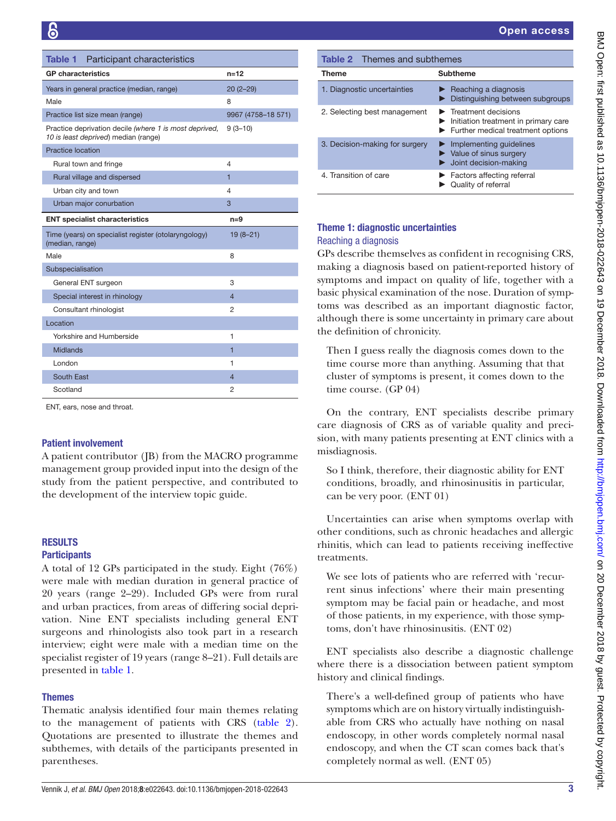| Table 1<br>Participant characteristics                                                         |                    |
|------------------------------------------------------------------------------------------------|--------------------|
| <b>GP</b> characteristics                                                                      | $n = 12$           |
| Years in general practice (median, range)                                                      | $20(2-29)$         |
| Male                                                                                           | 8                  |
| Practice list size mean (range)                                                                | 9967 (4758-18 571) |
| Practice deprivation decile (where 1 is most deprived,<br>10 is least deprived) median (range) | $9(3-10)$          |
| Practice location                                                                              |                    |
| Rural town and fringe                                                                          | 4                  |
| Rural village and dispersed                                                                    | 1                  |
| Urban city and town                                                                            | 4                  |
| Urban major conurbation                                                                        | 3                  |
| <b>ENT specialist characteristics</b>                                                          | $n=9$              |
| Time (years) on specialist register (otolaryngology)<br>(median, range)                        | $19(8-21)$         |
| Male                                                                                           | 8                  |
| Subspecialisation                                                                              |                    |
| General ENT surgeon                                                                            | 3                  |
| Special interest in rhinology                                                                  | $\overline{4}$     |
| Consultant rhinologist                                                                         | 2                  |
| Location                                                                                       |                    |
| Yorkshire and Humberside                                                                       | 1                  |
| <b>Midlands</b>                                                                                | 1                  |
| London                                                                                         | 1                  |
| South East                                                                                     | $\overline{4}$     |
| Scotland                                                                                       | 2                  |

ENT, ears, nose and throat.

## Patient involvement

A patient contributor (JB) from the MACRO programme management group provided input into the design of the study from the patient perspective, and contributed to the development of the interview topic guide.

## **RESULTS**

#### **Participants**

A total of 12 GPs participated in the study. Eight (76%) were male with median duration in general practice of 20 years (range 2–29). Included GPs were from rural and urban practices, from areas of differing social deprivation. Nine ENT specialists including general ENT surgeons and rhinologists also took part in a research interview; eight were male with a median time on the specialist register of 19 years (range 8–21). Full details are presented in table 1.

## Themes

Thematic analysis identified four main themes relating to the management of patients with CRS ([table](#page-2-0) 2). Quotations are presented to illustrate the themes and subthemes, with details of the participants presented in parentheses.

<span id="page-2-0"></span>

| <b>Table 2</b> Themes and subthemes |                                                                                                                        |  |
|-------------------------------------|------------------------------------------------------------------------------------------------------------------------|--|
| Theme                               | <b>Subtheme</b>                                                                                                        |  |
| 1. Diagnostic uncertainties         | Reaching a diagnosis<br>Distinguishing between subgroups                                                               |  |
| 2. Selecting best management        | $\blacktriangleright$ Treatment decisions<br>Initiation treatment in primary care<br>Further medical treatment options |  |
| 3. Decision-making for surgery      | Implementing quidelines<br>Value of sinus surgery<br>Joint decision-making                                             |  |
| 4. Transition of care               | $\blacktriangleright$ Factors affecting referral<br>Quality of referral                                                |  |

# Theme 1: diagnostic uncertainties Reaching a diagnosis

GPs describe themselves as confident in recognising CRS, making a diagnosis based on patient-reported history of symptoms and impact on quality of life, together with a basic physical examination of the nose. Duration of symptoms was described as an important diagnostic factor, although there is some uncertainty in primary care about the definition of chronicity.

Then I guess really the diagnosis comes down to the time course more than anything. Assuming that that cluster of symptoms is present, it comes down to the time course. (GP 04)

On the contrary, ENT specialists describe primary care diagnosis of CRS as of variable quality and precision, with many patients presenting at ENT clinics with a misdiagnosis.

So I think, therefore, their diagnostic ability for ENT conditions, broadly, and rhinosinusitis in particular, can be very poor. (ENT 01)

Uncertainties can arise when symptoms overlap with other conditions, such as chronic headaches and allergic rhinitis, which can lead to patients receiving ineffective treatments.

We see lots of patients who are referred with 'recurrent sinus infections' where their main presenting symptom may be facial pain or headache, and most of those patients, in my experience, with those symptoms, don't have rhinosinusitis. (ENT 02)

ENT specialists also describe a diagnostic challenge where there is a dissociation between patient symptom history and clinical findings.

There's a well-defined group of patients who have symptoms which are on history virtually indistinguishable from CRS who actually have nothing on nasal endoscopy, in other words completely normal nasal endoscopy, and when the CT scan comes back that's completely normal as well. (ENT 05)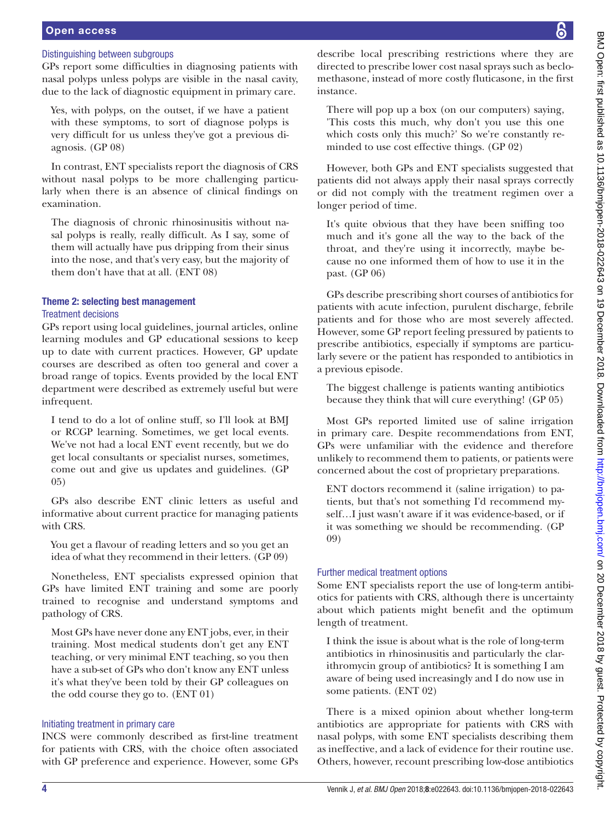## Open access

## Distinguishing between subgroups

GPs report some difficulties in diagnosing patients with nasal polyps unless polyps are visible in the nasal cavity, due to the lack of diagnostic equipment in primary care.

Yes, with polyps, on the outset, if we have a patient with these symptoms, to sort of diagnose polyps is very difficult for us unless they've got a previous diagnosis. (GP 08)

In contrast, ENT specialists report the diagnosis of CRS without nasal polyps to be more challenging particularly when there is an absence of clinical findings on examination.

The diagnosis of chronic rhinosinusitis without nasal polyps is really, really difficult. As I say, some of them will actually have pus dripping from their sinus into the nose, and that's very easy, but the majority of them don't have that at all. (ENT 08)

## Theme 2: selecting best management

## Treatment decisions

GPs report using local guidelines, journal articles, online learning modules and GP educational sessions to keep up to date with current practices. However, GP update courses are described as often too general and cover a broad range of topics. Events provided by the local ENT department were described as extremely useful but were infrequent.

I tend to do a lot of online stuff, so I'll look at BMJ or RCGP learning. Sometimes, we get local events. We've not had a local ENT event recently, but we do get local consultants or specialist nurses, sometimes, come out and give us updates and guidelines. (GP 05)

GPs also describe ENT clinic letters as useful and informative about current practice for managing patients with CRS.

You get a flavour of reading letters and so you get an idea of what they recommend in their letters. (GP 09)

Nonetheless, ENT specialists expressed opinion that GPs have limited ENT training and some are poorly trained to recognise and understand symptoms and pathology of CRS.

Most GPs have never done any ENT jobs, ever, in their training. Most medical students don't get any ENT teaching, or very minimal ENT teaching, so you then have a sub-set of GPs who don't know any ENT unless it's what they've been told by their GP colleagues on the odd course they go to. (ENT 01)

## Initiating treatment in primary care

INCS were commonly described as first-line treatment for patients with CRS, with the choice often associated with GP preference and experience. However, some GPs

describe local prescribing restrictions where they are directed to prescribe lower cost nasal sprays such as beclomethasone, instead of more costly fluticasone, in the first instance.

There will pop up a box (on our computers) saying, 'This costs this much, why don't you use this one which costs only this much?' So we're constantly reminded to use cost effective things. (GP 02)

However, both GPs and ENT specialists suggested that patients did not always apply their nasal sprays correctly or did not comply with the treatment regimen over a longer period of time.

It's quite obvious that they have been sniffing too much and it's gone all the way to the back of the throat, and they're using it incorrectly, maybe because no one informed them of how to use it in the past. (GP 06)

GPs describe prescribing short courses of antibiotics for patients with acute infection, purulent discharge, febrile patients and for those who are most severely affected. However, some GP report feeling pressured by patients to prescribe antibiotics, especially if symptoms are particularly severe or the patient has responded to antibiotics in a previous episode.

The biggest challenge is patients wanting antibiotics because they think that will cure everything! (GP 05)

Most GPs reported limited use of saline irrigation in primary care. Despite recommendations from ENT, GPs were unfamiliar with the evidence and therefore unlikely to recommend them to patients, or patients were concerned about the cost of proprietary preparations.

ENT doctors recommend it (saline irrigation) to patients, but that's not something I'd recommend myself…I just wasn't aware if it was evidence-based, or if it was something we should be recommending. (GP 09)

## Further medical treatment options

Some ENT specialists report the use of long-term antibiotics for patients with CRS, although there is uncertainty about which patients might benefit and the optimum length of treatment.

I think the issue is about what is the role of long-term antibiotics in rhinosinusitis and particularly the clarithromycin group of antibiotics? It is something I am aware of being used increasingly and I do now use in some patients. (ENT 02)

There is a mixed opinion about whether long-term antibiotics are appropriate for patients with CRS with nasal polyps, with some ENT specialists describing them as ineffective, and a lack of evidence for their routine use. Others, however, recount prescribing low-dose antibiotics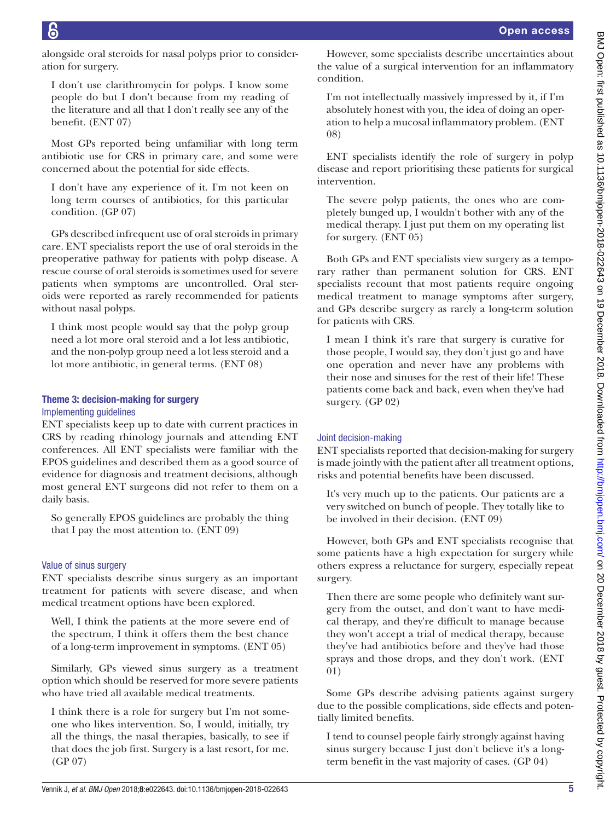alongside oral steroids for nasal polyps prior to consideration for surgery.

I don't use clarithromycin for polyps. I know some people do but I don't because from my reading of the literature and all that I don't really see any of the benefit. (ENT 07)

Most GPs reported being unfamiliar with long term antibiotic use for CRS in primary care, and some were concerned about the potential for side effects.

I don't have any experience of it. I'm not keen on long term courses of antibiotics, for this particular condition. (GP 07)

GPs described infrequent use of oral steroids in primary care. ENT specialists report the use of oral steroids in the preoperative pathway for patients with polyp disease. A rescue course of oral steroids is sometimes used for severe patients when symptoms are uncontrolled. Oral steroids were reported as rarely recommended for patients without nasal polyps.

I think most people would say that the polyp group need a lot more oral steroid and a lot less antibiotic, and the non-polyp group need a lot less steroid and a lot more antibiotic, in general terms. (ENT 08)

## Theme 3: decision-making for surgery Implementing guidelines

ENT specialists keep up to date with current practices in CRS by reading rhinology journals and attending ENT conferences. All ENT specialists were familiar with the EPOS guidelines and described them as a good source of evidence for diagnosis and treatment decisions, although most general ENT surgeons did not refer to them on a daily basis.

So generally EPOS guidelines are probably the thing that I pay the most attention to. (ENT 09)

## Value of sinus surgery

ENT specialists describe sinus surgery as an important treatment for patients with severe disease, and when medical treatment options have been explored.

Well, I think the patients at the more severe end of the spectrum, I think it offers them the best chance of a long-term improvement in symptoms. (ENT 05)

Similarly, GPs viewed sinus surgery as a treatment option which should be reserved for more severe patients who have tried all available medical treatments.

I think there is a role for surgery but I'm not someone who likes intervention. So, I would, initially, try all the things, the nasal therapies, basically, to see if that does the job first. Surgery is a last resort, for me. (GP 07)

However, some specialists describe uncertainties about the value of a surgical intervention for an inflammatory condition.

I'm not intellectually massively impressed by it, if I'm absolutely honest with you, the idea of doing an operation to help a mucosal inflammatory problem. (ENT 08)

ENT specialists identify the role of surgery in polyp disease and report prioritising these patients for surgical intervention.

The severe polyp patients, the ones who are completely bunged up, I wouldn't bother with any of the medical therapy. I just put them on my operating list for surgery. (ENT 05)

Both GPs and ENT specialists view surgery as a temporary rather than permanent solution for CRS. ENT specialists recount that most patients require ongoing medical treatment to manage symptoms after surgery, and GPs describe surgery as rarely a long-term solution for patients with CRS.

I mean I think it's rare that surgery is curative for those people, I would say, they don't just go and have one operation and never have any problems with their nose and sinuses for the rest of their life! These patients come back and back, even when they've had surgery. (GP 02)

# Joint decision-making

ENT specialists reported that decision-making for surgery is made jointly with the patient after all treatment options, risks and potential benefits have been discussed.

It's very much up to the patients. Our patients are a very switched on bunch of people. They totally like to be involved in their decision. (ENT 09)

However, both GPs and ENT specialists recognise that some patients have a high expectation for surgery while others express a reluctance for surgery, especially repeat surgery.

Then there are some people who definitely want surgery from the outset, and don't want to have medical therapy, and they're difficult to manage because they won't accept a trial of medical therapy, because they've had antibiotics before and they've had those sprays and those drops, and they don't work. (ENT 01)

Some GPs describe advising patients against surgery due to the possible complications, side effects and potentially limited benefits.

I tend to counsel people fairly strongly against having sinus surgery because I just don't believe it's a longterm benefit in the vast majority of cases. (GP 04)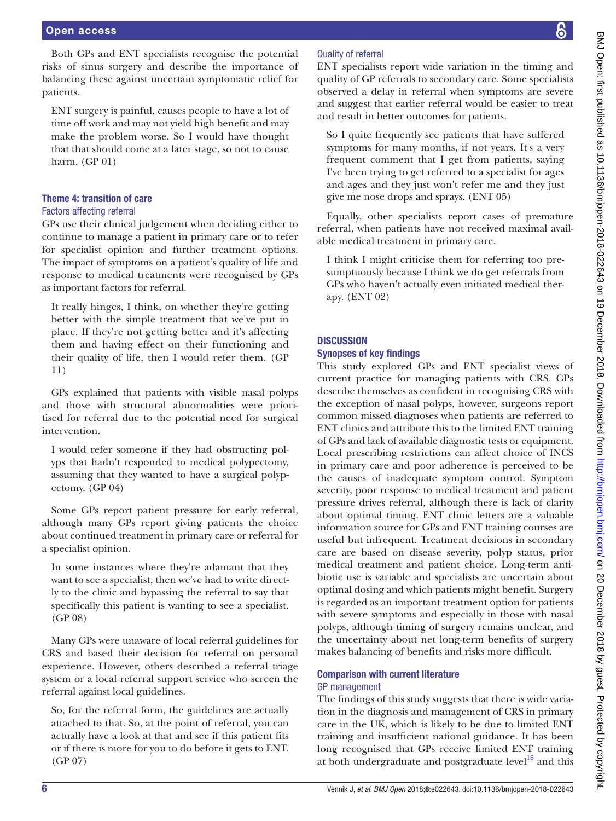Both GPs and ENT specialists recognise the potential risks of sinus surgery and describe the importance of balancing these against uncertain symptomatic relief for patients.

ENT surgery is painful, causes people to have a lot of time off work and may not yield high benefit and may make the problem worse. So I would have thought that that should come at a later stage, so not to cause harm. (GP 01)

## Theme 4: transition of care

#### Factors affecting referral

GPs use their clinical judgement when deciding either to continue to manage a patient in primary care or to refer for specialist opinion and further treatment options. The impact of symptoms on a patient's quality of life and response to medical treatments were recognised by GPs as important factors for referral.

It really hinges, I think, on whether they're getting better with the simple treatment that we've put in place. If they're not getting better and it's affecting them and having effect on their functioning and their quality of life, then I would refer them. (GP 11)

GPs explained that patients with visible nasal polyps and those with structural abnormalities were prioritised for referral due to the potential need for surgical intervention.

I would refer someone if they had obstructing polyps that hadn't responded to medical polypectomy, assuming that they wanted to have a surgical polypectomy. (GP 04)

Some GPs report patient pressure for early referral, although many GPs report giving patients the choice about continued treatment in primary care or referral for a specialist opinion.

In some instances where they're adamant that they want to see a specialist, then we've had to write directly to the clinic and bypassing the referral to say that specifically this patient is wanting to see a specialist. (GP 08)

Many GPs were unaware of local referral guidelines for CRS and based their decision for referral on personal experience. However, others described a referral triage system or a local referral support service who screen the referral against local guidelines.

So, for the referral form, the guidelines are actually attached to that. So, at the point of referral, you can actually have a look at that and see if this patient fits or if there is more for you to do before it gets to ENT. (GP 07)

# Quality of referral

ENT specialists report wide variation in the timing and quality of GP referrals to secondary care. Some specialists observed a delay in referral when symptoms are severe and suggest that earlier referral would be easier to treat and result in better outcomes for patients.

So I quite frequently see patients that have suffered symptoms for many months, if not years. It's a very frequent comment that I get from patients, saying I've been trying to get referred to a specialist for ages and ages and they just won't refer me and they just give me nose drops and sprays. (ENT 05)

Equally, other specialists report cases of premature referral, when patients have not received maximal available medical treatment in primary care.

I think I might criticise them for referring too presumptuously because I think we do get referrals from GPs who haven't actually even initiated medical therapy. (ENT 02)

# **DISCUSSION**

## Synopses of key findings

This study explored GPs and ENT specialist views of current practice for managing patients with CRS. GPs describe themselves as confident in recognising CRS with the exception of nasal polyps, however, surgeons report common missed diagnoses when patients are referred to ENT clinics and attribute this to the limited ENT training of GPs and lack of available diagnostic tests or equipment. Local prescribing restrictions can affect choice of INCS in primary care and poor adherence is perceived to be the causes of inadequate symptom control. Symptom severity, poor response to medical treatment and patient pressure drives referral, although there is lack of clarity about optimal timing. ENT clinic letters are a valuable information source for GPs and ENT training courses are useful but infrequent. Treatment decisions in secondary care are based on disease severity, polyp status, prior medical treatment and patient choice. Long-term antibiotic use is variable and specialists are uncertain about optimal dosing and which patients might benefit. Surgery is regarded as an important treatment option for patients with severe symptoms and especially in those with nasal polyps, although timing of surgery remains unclear, and the uncertainty about net long-term benefits of surgery makes balancing of benefits and risks more difficult.

## Comparison with current literature GP management

The findings of this study suggests that there is wide variation in the diagnosis and management of CRS in primary care in the UK, which is likely to be due to limited ENT training and insufficient national guidance. It has been long recognised that GPs receive limited ENT training at both undergraduate and postgraduate level $16$  and this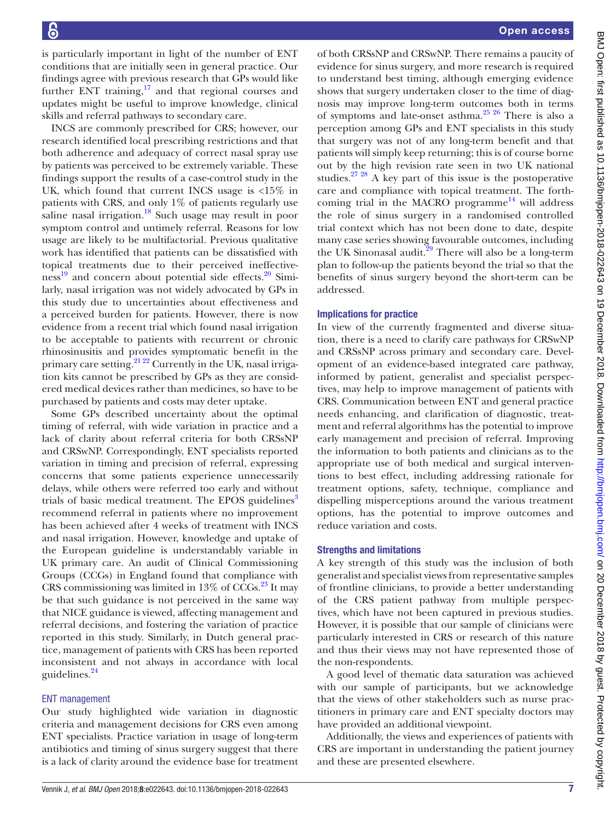is particularly important in light of the number of ENT conditions that are initially seen in general practice. Our findings agree with previous research that GPs would like further ENT training, $17$  and that regional courses and updates might be useful to improve knowledge, clinical skills and referral pathways to secondary care.

INCS are commonly prescribed for CRS; however, our research identified local prescribing restrictions and that both adherence and adequacy of correct nasal spray use by patients was perceived to be extremely variable. These findings support the results of a case-control study in the UK, which found that current INCS usage is <15% in patients with CRS, and only 1% of patients regularly use saline nasal irrigation. $18$  Such usage may result in poor symptom control and untimely referral. Reasons for low usage are likely to be multifactorial. Previous qualitative work has identified that patients can be dissatisfied with topical treatments due to their perceived ineffectiveness<sup>19</sup> and concern about potential side effects.<sup>20</sup> Similarly, nasal irrigation was not widely advocated by GPs in this study due to uncertainties about effectiveness and a perceived burden for patients. However, there is now evidence from a recent trial which found nasal irrigation to be acceptable to patients with recurrent or chronic rhinosinusitis and provides symptomatic benefit in the primary care setting.<sup>21 22</sup> Currently in the UK, nasal irrigation kits cannot be prescribed by GPs as they are considered medical devices rather than medicines, so have to be purchased by patients and costs may deter uptake.

Some GPs described uncertainty about the optimal timing of referral, with wide variation in practice and a lack of clarity about referral criteria for both CRSsNP and CRSwNP. Correspondingly, ENT specialists reported variation in timing and precision of referral, expressing concerns that some patients experience unnecessarily delays, while others were referred too early and without trials of basic medical treatment. The EPOS guidelines<sup>[3](#page-7-1)</sup> recommend referral in patients where no improvement has been achieved after 4 weeks of treatment with INCS and nasal irrigation. However, knowledge and uptake of the European guideline is understandably variable in UK primary care. An audit of Clinical Commissioning Groups (CCGs) in England found that compliance with CRS commissioning was limited in  $13\%$  of CCGs.<sup>23</sup> It may be that such guidance is not perceived in the same way that NICE guidance is viewed, affecting management and referral decisions, and fostering the variation of practice reported in this study. Similarly, in Dutch general practice, management of patients with CRS has been reported inconsistent and not always in accordance with local guidelines.[24](#page-7-19)

## ENT management

Our study highlighted wide variation in diagnostic criteria and management decisions for CRS even among ENT specialists. Practice variation in usage of long-term antibiotics and timing of sinus surgery suggest that there is a lack of clarity around the evidence base for treatment

of both CRSsNP and CRSwNP. There remains a paucity of evidence for sinus surgery, and more research is required to understand best timing, although emerging evidence shows that surgery undertaken closer to the time of diagnosis may improve long-term outcomes both in terms of symptoms and late-onset asthma. $25\frac{25}{6}$  There is also a perception among GPs and ENT specialists in this study that surgery was not of any long-term benefit and that patients will simply keep returning; this is of course borne out by the high revision rate seen in two UK national studies.<sup>27 28</sup> A key part of this issue is the postoperative care and compliance with topical treatment. The forth-coming trial in the MACRO programme<sup>[14](#page-7-10)</sup> will address the role of sinus surgery in a randomised controlled trial context which has not been done to date, despite many case series showing favourable outcomes, including the UK Sinonasal audit. $29$  There will also be a long-term plan to follow-up the patients beyond the trial so that the benefits of sinus surgery beyond the short-term can be addressed.

## Implications for practice

In view of the currently fragmented and diverse situation, there is a need to clarify care pathways for CRSwNP and CRSsNP across primary and secondary care. Development of an evidence-based integrated care pathway, informed by patient, generalist and specialist perspectives, may help to improve management of patients with CRS. Communication between ENT and general practice needs enhancing, and clarification of diagnostic, treatment and referral algorithms has the potential to improve early management and precision of referral. Improving the information to both patients and clinicians as to the appropriate use of both medical and surgical interventions to best effect, including addressing rationale for treatment options, safety, technique, compliance and dispelling misperceptions around the various treatment options, has the potential to improve outcomes and reduce variation and costs.

## Strengths and limitations

A key strength of this study was the inclusion of both generalist and specialist views from representative samples of frontline clinicians, to provide a better understanding of the CRS patient pathway from multiple perspectives, which have not been captured in previous studies. However, it is possible that our sample of clinicians were particularly interested in CRS or research of this nature and thus their views may not have represented those of the non-respondents.

A good level of thematic data saturation was achieved with our sample of participants, but we acknowledge that the views of other stakeholders such as nurse practitioners in primary care and ENT specialty doctors may have provided an additional viewpoint.

Additionally, the views and experiences of patients with CRS are important in understanding the patient journey and these are presented elsewhere.